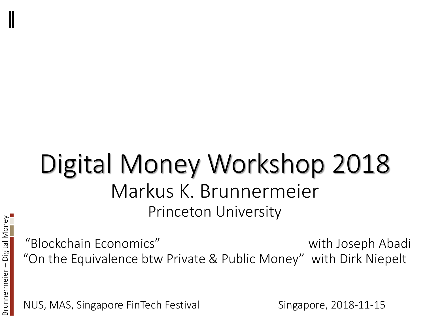## Digital Money Workshop 2018 Markus K. Brunnermeier Princeton University

"Blockchain Economics" with Joseph Abadi "On the Equivalence btw Private & Public Money" with Dirk Niepelt

NUS, MAS, Singapore FinTech Festival Singapore, 2018-11-15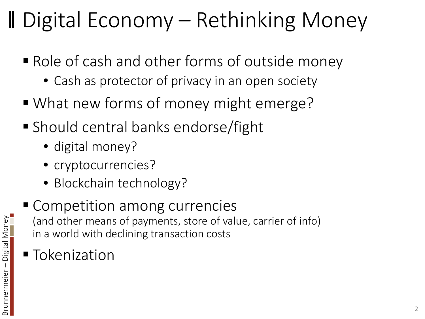# ■ Digital Economy – Rethinking Money

- Role of cash and other forms of outside money
	- Cash as protector of privacy in an open society
- What new forms of money might emerge?
- Should central banks endorse/fight
	- digital money?
	- cryptocurrencies?
	- Blockchain technology?
- Competition among currencies (and other means of payments, store of value, carrier of info) in a world with declining transaction costs
- **Tokenization**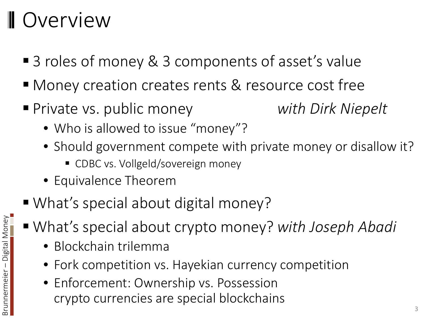### **Overview**

- 3 roles of money & 3 components of asset's value
- Money creation creates rents & resource cost free
- Private vs. public money *with Dirk Niepelt*
	- Who is allowed to issue "money"?
	- Should government compete with private money or disallow it?
		- CDBC vs. Vollgeld/sovereign money
	- Equivalence Theorem
- What's special about digital money?
- What's special about crypto money? *with Joseph Abadi*
	- Blockchain trilemma
	- Fork competition vs. Hayekian currency competition
	- Enforcement: Ownership vs. Possession crypto currencies are special blockchains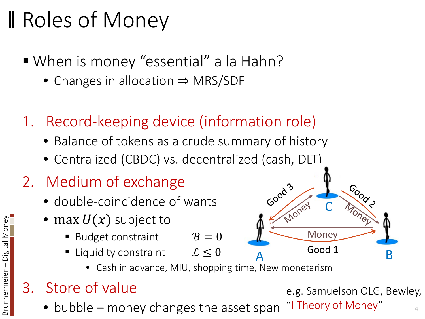# **Ⅱ Roles of Money**

- When is money "essential" a la Hahn?
	- Changes in allocation ⇒ MRS/SDF
- 1. Record-keeping device (information role)
	- Balance of tokens as a crude summary of history
	- Centralized (CBDC) vs. decentralized (cash, DLT)
- 2. Medium of exchange
	- double-coincidence of wants
	- max  $U(x)$  subject to
		- Budget constraint  $B = 0$
		- Liquidity constraint  $\mathcal{L} \leq 0$ 
			- Cash in advance, MIU, shopping time, New monetarism

#### 3. Store of value

 $\bullet$  bubble – money changes the asset span

e.g. Samuelson OLG, Bewley, "I Theory of Money"

 $Good 1$ 

**Money** 

Good<sup>3</sup>

C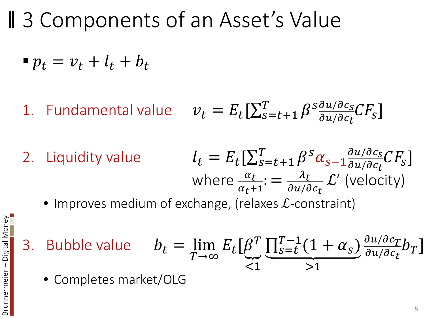■ 3 Components of an Asset's Value

$$
\bullet p_t = v_t + l_t + b_t
$$

- 1. Fundamental value  $v_t = E_t[\sum_{s=t+1}^{T} \beta \frac{\delta u / \delta c_s}{\delta u / \delta c_t}]$  $\frac{\partial u / \partial c_S}{\partial u / \partial c_t} CF_S$
- 2. Liquidity value  $l_t = E_t[\sum_{s=t+1}^{T} \beta^s \alpha_{s-1} \frac{\partial u/\partial c_s}{\partial u/\partial c_t} CF_s]$ du/dc<sub>t</sub><br>' where  $\frac{\alpha_t}{\alpha_t}$  $\alpha$ <sub>t</sub>+1 :  $= \frac{\lambda_t}{\partial u/\hat{c}}$  $\frac{\partial u}{\partial c_t}$  $\mathcal{L}'$  (velocity)
	- Improves medium of exchange, (relaxes  $\mathcal{L}$ -constraint)
- 3. Bubble value  $b_t = \lim_{T \to \infty}$  $T\rightarrow\infty$  $E_t[\beta]$  $T$  $\leq$  1  $\frac{\prod_{s=t}^{T-1}(1+\alpha_s)}{2}$  $>1$  $\frac{\partial u/\partial c_T}{\partial u}$  $\frac{\partial u / \partial c_I}{\partial u / \partial c_t} b_T$ 
	- Completes market/OLG

Brunnermeier

– Digital Money

Brunnermeier – Digital Money

5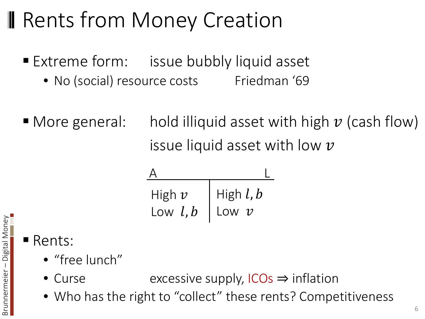# **Rents from Money Creation**

- **Extreme form:** issue bubbly liquid asset
	- No (social) resource costs Friedman '69
- More general: hold illiquid asset with high  $\nu$  (cash flow) issue liquid asset with low  $\nu$

| High $v$   | High $l, b$ |
|------------|-------------|
| Low $l, b$ | Low $\nu$   |

#### **Rents:**

Brunnermeier

– Digital Money

Brunnermeier – Digital Money

- "free lunch"
- Curse excessive supply, ICOs ⇒ inflation
- Who has the right to "collect" these rents? Competitiveness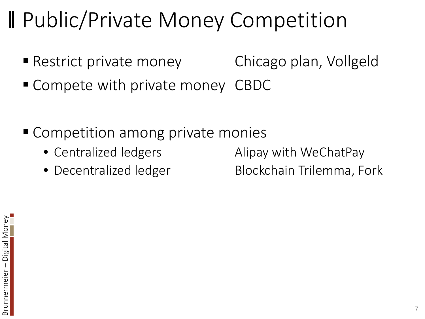# **Public/Private Money Competition**

- Restrict private money Chicago plan, Vollgeld
- Compete with private money CBDC
- Competition among private monies
	-
	-

• Centralized ledgers **Alipay with WeChatPay** 

• Decentralized ledger Blockchain Trilemma, Fork

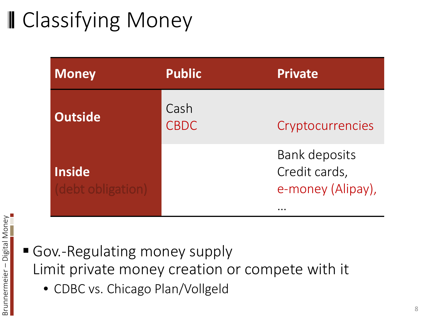# **II** Classifying Money

| <b>Money</b>                      | <b>Public</b>       | <b>Private</b>                                             |
|-----------------------------------|---------------------|------------------------------------------------------------|
| <b>Outside</b>                    | Cash<br><b>CBDC</b> | Cryptocurrencies                                           |
| <b>Inside</b><br>debt obligation) |                     | <b>Bank deposits</b><br>Credit cards,<br>e-money (Alipay), |

#### Gov.-Regulating money supply Limit private money creation or compete with it

• CDBC vs. Chicago Plan/Vollgeld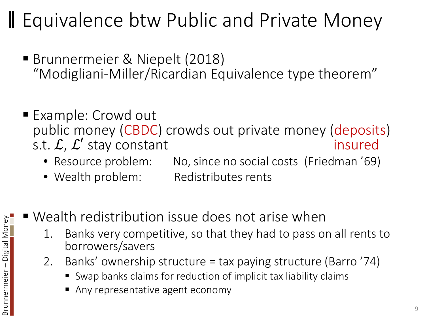#### **I** Equivalence btw Public and Private Money

- Brunnermeier & Niepelt (2018) "Modigliani-Miller/Ricardian Equivalence type theorem"
- Example: Crowd out public money (CBDC) crowds out private money (deposits) s.t.  $\mathcal{L}, \mathcal{L}'$  stay constant<br>
• Resource problem: No, since no social costs (Friedman '69)
	- No, since no social costs (Friedman '69)
	- Wealth problem: Redistributes rents
- Wealth redistribution issue does not arise when
	- 1. Banks very competitive, so that they had to pass on all rents to borrowers/savers
	- 2. Banks' ownership structure = tax paying structure (Barro '74)
		- Swap banks claims for reduction of implicit tax liability claims
		- Any representative agent economy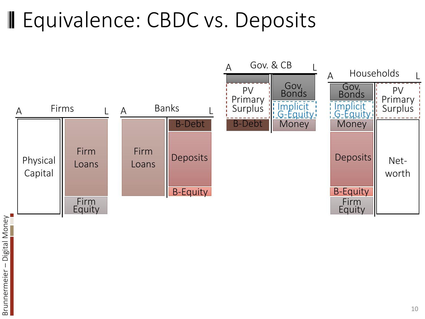## **II** Equivalence: CBDC vs. Deposits

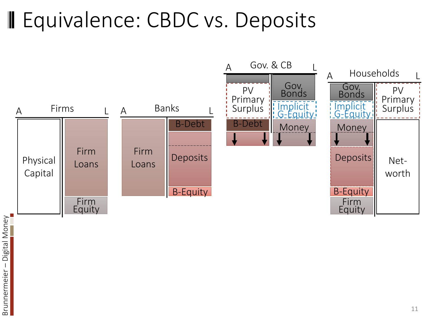## **II** Equivalence: CBDC vs. Deposits

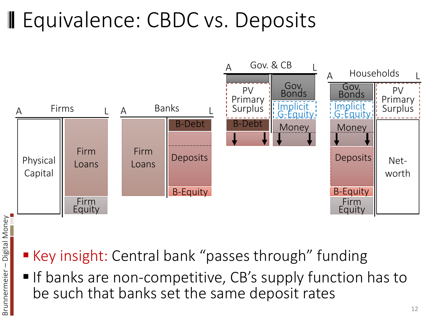# Equivalence: CBDC vs. Deposits



- Key insight: Central bank "passes through" funding
- If banks are non-competitive, CB's supply function has to be such that banks set the same deposit rates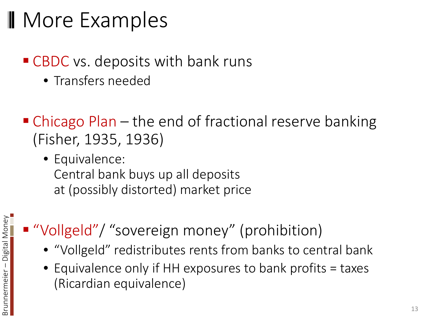## **Nore Examples**

#### ■ CBDC vs. deposits with bank runs

- Transfers needed
- Chicago Plan the end of fractional reserve banking (Fisher, 1935, 1936)
	- Equivalence: Central bank buys up all deposits at (possibly distorted) market price
- "Vollgeld"/ "sovereign money" (prohibition)
	- "Vollgeld" redistributes rents from banks to central bank
	- Equivalence only if HH exposures to bank profits = taxes (Ricardian equivalence)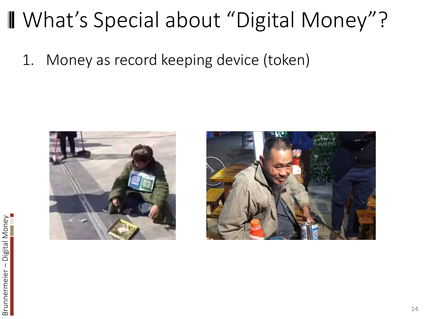### What's Special about "Digital Money"?

1. Money as record keeping device (token)



Brunnermeier

– Digital Money

Brunnermeier – Digital Money

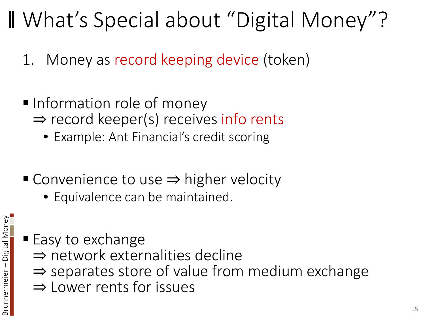# What's Special about "Digital Money"?

- 1. Money as record keeping device (token)
- Information role of money ⇒ record keeper(s) receives info rents
	- Example: Ant Financial's credit scoring
- Convenience to use ⇒ higher velocity
	- Equivalence can be maintained.

- Easy to exchange
	- ⇒ network externalities decline
	- ⇒ separates store of value from medium exchange
	- ⇒ Lower rents for issues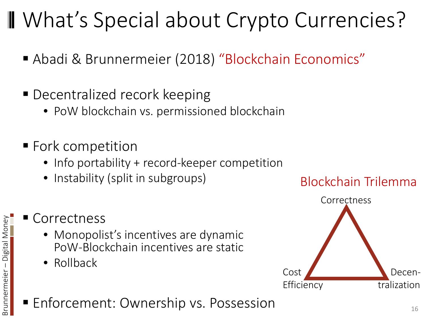# What's Special about Crypto Currencies?

- Abadi & Brunnermeier (2018) "Blockchain Economics"
- **Decentralized recork keeping** 
	- PoW blockchain vs. permissioned blockchain
- **Fork competition** 
	- Info portability + record-keeper competition
	- Instability (split in subgroups)

#### Correctness

- Monopolist's incentives are dynamic PoW-Blockchain incentives are static
- Rollback

Brunnermeier

– Digital Money

Brunnermeier – Digital Money

#### ■ Enforcement: Ownership vs. Possession 16

#### Blockchain Trilemma

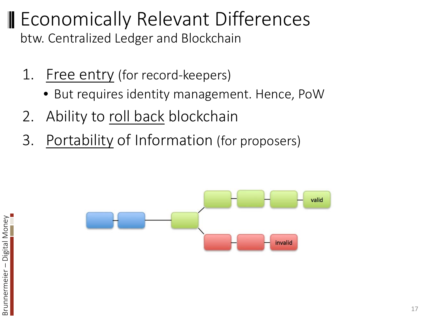#### **II** Economically Relevant Differences btw. Centralized Ledger and Blockchain

- 1. Free entry (for record-keepers)
	- But requires identity management. Hence, PoW
- 2. Ability to roll back blockchain
- 3. Portability of Information (for proposers)



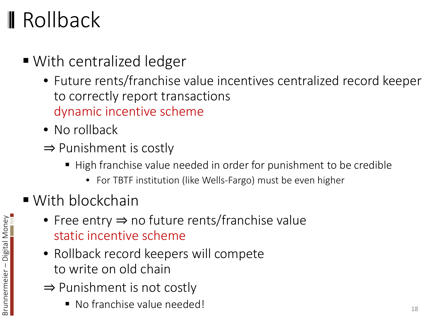# **I**I Rollback

- With centralized ledger
	- Future rents/franchise value incentives centralized record keeper to correctly report transactions dynamic incentive scheme
	- No rollback
	- ⇒ Punishment is costly
		- High franchise value needed in order for punishment to be credible
			- For TBTF institution (like Wells-Fargo) must be even higher
- With blockchain
	- Free entry ⇒ no future rents/franchise value static incentive scheme
	- Rollback record keepers will compete to write on old chain
	- ⇒ Punishment is not costly
		- No franchise value needed! 18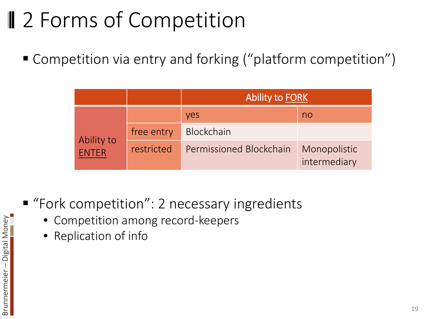# **Ⅱ** 2 Forms of Competition

■ Competition via entry and forking ("platform competition")

|                            |            | <b>Ability to FORK</b>  |                              |  |
|----------------------------|------------|-------------------------|------------------------------|--|
|                            |            | <b>Ves</b>              | no                           |  |
| Ability to<br><b>FNTFR</b> | free entry | <b>Blockchain</b>       |                              |  |
|                            | restricted | Permissioned Blockchain | Monopolistic<br>intermediary |  |

- "Fork competition": 2 necessary ingredients
	- Competition among record-keepers
	- Replication of info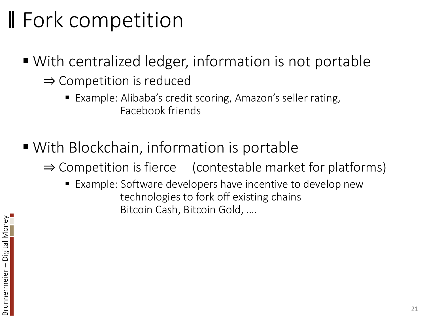# **Fork competition**

- With centralized ledger, information is not portable ⇒ Competition is reduced
	- Example: Alibaba's credit scoring, Amazon's seller rating, Facebook friends
- With Blockchain, information is portable

 $\Rightarrow$  Competition is fierce (contestable market for platforms)

**Example: Software developers have incentive to develop new** technologies to fork off existing chains Bitcoin Cash, Bitcoin Gold, ….

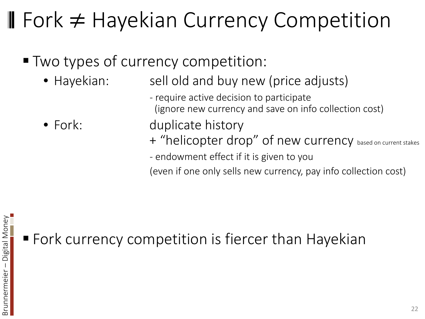# Fork ≠ Hayekian Currency Competition

- **Two types of currency competition:** 
	- Hayekian: sell old and buy new (price adjusts)
		- require active decision to participate (ignore new currency and save on info collection cost)
	- Fork: duplicate history

+ "helicopter drop" of new currency based on current stakes

- endowment effect if it is given to you

(even if one only sells new currency, pay info collection cost)

**Fork currency competition is fiercer than Hayekian**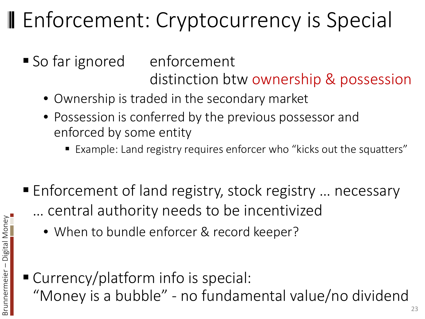# **II** Enforcement: Cryptocurrency is Special

- So far ignored enforcement distinction btw ownership & possession
	- Ownership is traded in the secondary market
	- Possession is conferred by the previous possessor and enforced by some entity
		- Example: Land registry requires enforcer who "kicks out the squatters"
- Enforcement of land registry, stock registry ... necessary … central authority needs to be incentivized
	- When to bundle enforcer & record keeper?
- Currency/platform info is special: "Money is a bubble" - no fundamental value/no dividend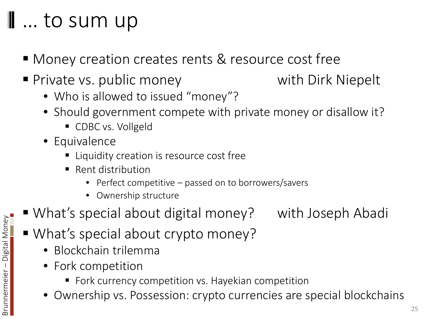#### … to sum up

- Money creation creates rents & resource cost free
- **Private vs. public money can be vith Dirk Niepelt** 
	- Who is allowed to issued "money"?
	- Should government compete with private money or disallow it?
		- CDBC vs. Vollgeld
	- Equivalence
		- **EX Liquidity creation is resource cost free**
		- Rent distribution
			- Perfect competitive passed on to borrowers/savers
			- Ownership structure
- What's special about digital money? with Joseph Abadi
- What's special about crypto money?
	- Blockchain trilemma
	- Fork competition
		- **F** Fork currency competition vs. Hayekian competition
	- Ownership vs. Possession: crypto currencies are special blockchains

25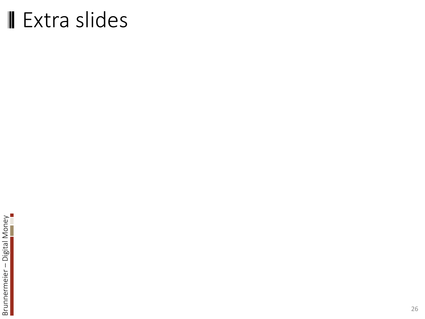## ■ Extra slides

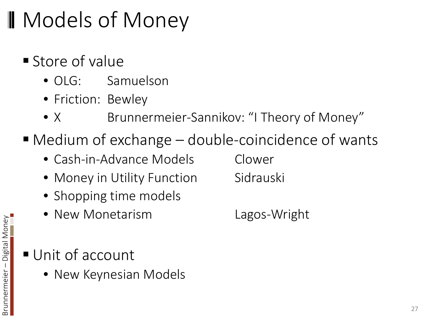# **Ⅱ** Models of Money

- **Store of value** 
	- OLG: Samuelson
	- Friction: Bewley
	- X Brunnermeier-Sannikov: "I Theory of Money"
- Medium of exchange double-coincidence of wants
	- Cash-in-Advance Models Clower
	- Money in Utility Function Sidrauski
	- Shopping time models
	- New Monetarism Lagos-Wright

Unit of account

Brunnermeier

– Digital Money

Brunnermeier – Digital Money

• New Keynesian Models